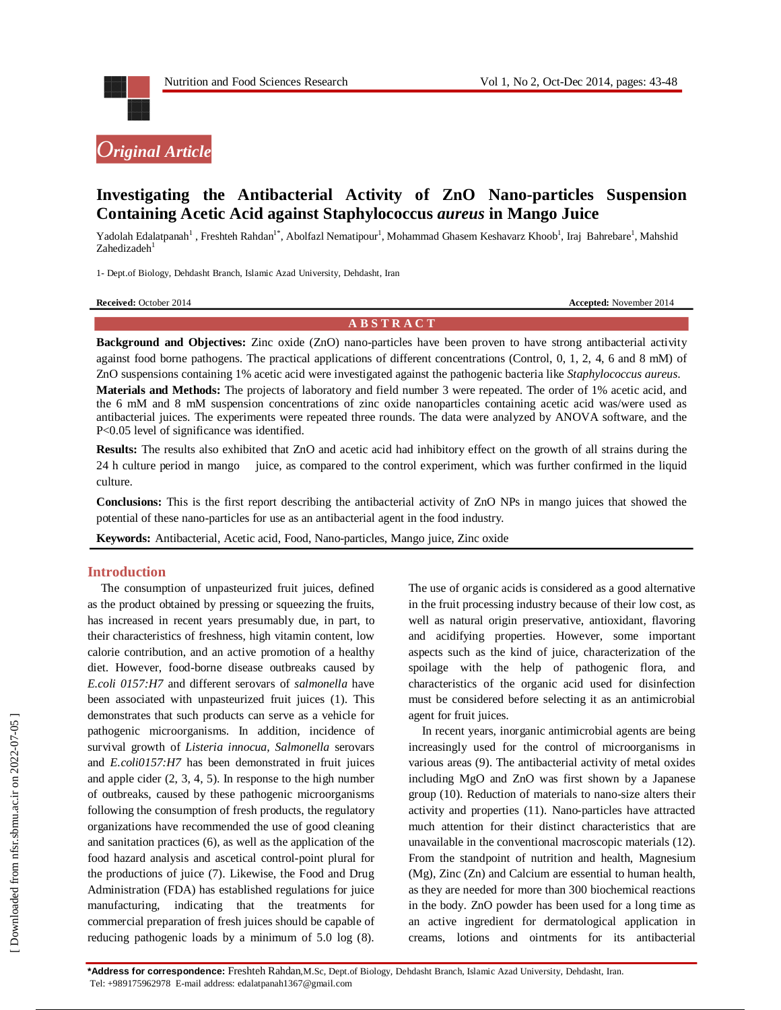



# **Investigating the Antibacterial Activity of ZnO Nano-particles Suspension Containing Acetic Acid against Staphylococcus** *aureus* **in Mango Juice**

Yadolah Edalatpanah<sup>1</sup>, Freshteh Rahdan<sup>1\*</sup>, Abolfazl Nematipour<sup>1</sup>, Mohammad Ghasem Keshavarz Khoob<sup>1</sup>, Iraj Bahrebare<sup>1</sup>, Mahshid Zahedizadeh<sup>1</sup>

1- Dept.of Biology, Dehdasht Branch, Islamic Azad University, Dehdasht, Iran

| <b>Received: October 2014</b> |
|-------------------------------|
|-------------------------------|

**Accepted:** November 2014

#### **A B S T R A C T**

**Background and Objectives:** Zinc oxide (ZnO) nano-particles have been proven to have strong antibacterial activity against food borne pathogens. The practical applications of different concentrations (Control, 0, 1, 2, 4, 6 and 8 mM) of ZnO suspensions containing 1% acetic acid were investigated against the pathogenic bacteria like *Staphylococcus aureus*. **Materials and Methods:** The projects of laboratory and field number 3 were repeated. The order of 1% acetic acid, and the 6 mM and 8 mM suspension concentrations of zinc oxide nanoparticles containing acetic acid was/were used as antibacterial juices. The experiments were repeated three rounds. The data were analyzed by ANOVA software, and the P<0.05 level of significance was identified.

**Results:** The results also exhibited that ZnO and acetic acid had inhibitory effect on the growth of all strains during the 24 h culture period in mango juice, as compared to the control experiment, which was further confirmed in the liquid culture.

**Conclusions:** This is the first report describing the antibacterial activity of ZnO NPs in mango juices that showed the potential of these nano-particles for use as an antibacterial agent in the food industry.

**Keywords:** Antibacterial, Acetic acid, Food, Nano-particles, Mango juice, Zinc oxide

## **Introduction**

The consumption of unpasteurized fruit juices, defined as the product obtained by pressing or squeezing the fruits, has increased in recent years presumably due, in part, to their characteristics of freshness, high vitamin content, low calorie contribution, and an active promotion of a healthy diet. However, food-borne disease outbreaks caused by *E.coli 0157:H7* and different serovars of *salmonella* have been associated with unpasteurized fruit juices (1). This demonstrates that such products can serve as a vehicle for pathogenic microorganisms. In addition, incidence of survival growth of *Listeria innocua, Salmonella* serovars and *E.coli0157:H7* has been demonstrated in fruit juices and apple cider (2, 3, 4, 5). In response to the high number of outbreaks, caused by these pathogenic microorganisms following the consumption of fresh products, the regulatory organizations have recommended the use of good cleaning and sanitation practices (6), as well as the application of the food hazard analysis and ascetical control-point plural for the productions of juice (7). Likewise, the Food and Drug Administration (FDA) has established regulations for juice manufacturing, indicating that the treatments commercial preparation of fresh juices should be capable of reducing pathogenic loads by a minimum of 5.0 log (8).

The use of organic acids is considered as a good alternative in the fruit processing industry because of their low cost, as well as natural origin preservative, antioxidant, flavoring and acidifying properties. However, some important aspects such as the kind of juice, characterization of the spoilage with the help of pathogenic flora, and characteristics of the organic acid used for disinfection must be considered before selecting it as an antimicrobial agent for fruit juices.

In recent years, inorganic antimicrobial agents are being increasingly used for the control of microorganisms in various areas (9). The antibacterial activity of metal oxides including MgO and ZnO was first shown by a Japanese group (10). Reduction of materials to nano-size alters their activity and properties (11). Nano-particles have attracted much attention for their distinct characteristics that are unavailable in the conventional macroscopic materials (12). From the standpoint of nutrition and health, Magnesium (Mg), Zinc (Zn) and Calcium are essential to human health, as they are needed for more than 300 biochemical reactions in the body. ZnO powder has been used for a long time as an active ingredient for dermatological application in creams, lotions and ointments for its antibacterial

**\*Address for correspondence:** Freshteh Rahdan,M.Sc, Dept.of Biology, Dehdasht Branch, Islamic Azad University, Dehdasht, Iran. Tel: +989175962978 E-mail address: edalatpanah1367@gmail.com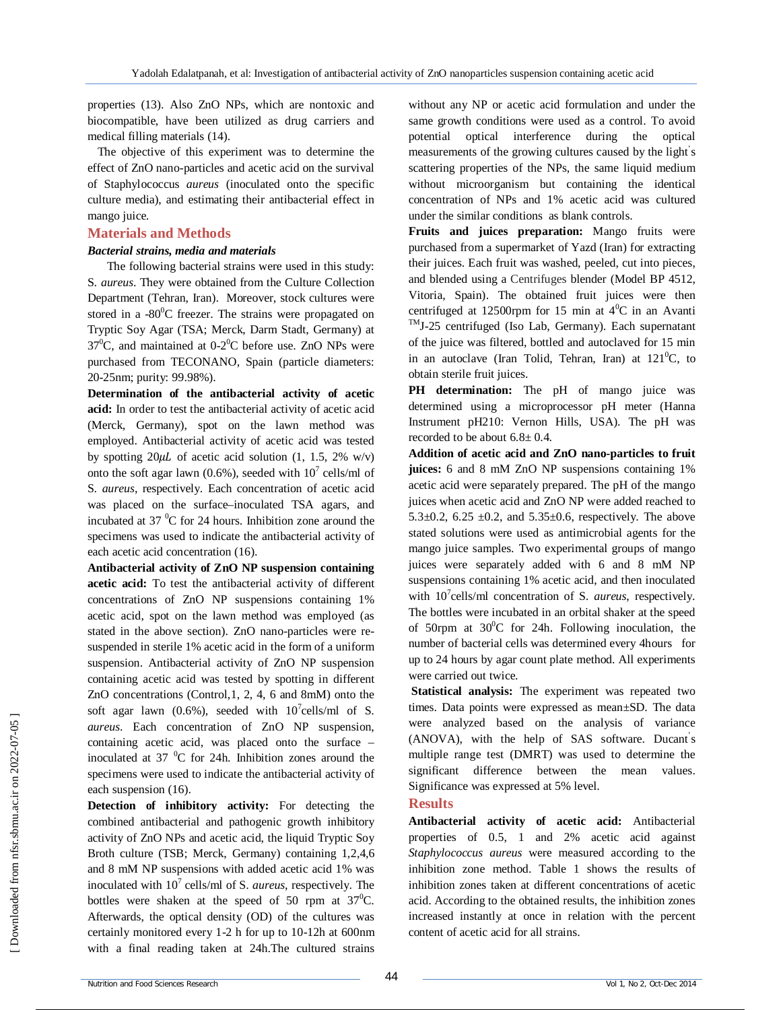properties (13). Also ZnO NPs, which are nontoxic and biocompatible, have been utilized as drug carriers and medical filling materials (14).

The objective of this experiment was to determine the effect of ZnO nano-particles and acetic acid on the survival of Staphylococcus *aureus* (inoculated onto the specific culture media), and estimating their antibacterial effect in mango juice.

#### **Materials and Methods**

#### *Bacterial strains, media and materials*

 The following bacterial strains were used in this study: S. *aureus*. They were obtained from the Culture Collection Department (Tehran, Iran). Moreover, stock cultures were stored in a -80 $\mathrm{^{0}C}$  freezer. The strains were propagated on Tryptic Soy Agar (TSA; Merck, Darm Stadt, Germany) at  $37^{\circ}$ C, and maintained at 0-2 $^{\circ}$ C before use. ZnO NPs were purchased from TECONANO, Spain (particle diameters: 20-25nm; purity: 99.98%).

**Determination of the antibacterial activity of acetic acid:** In order to test the antibacterial activity of acetic acid (Merck, Germany), spot on the lawn method was employed. Antibacterial activity of acetic acid was tested by spotting  $20\mu L$  of acetic acid solution (1, 1.5, 2% w/v) onto the soft agar lawn (0.6%), seeded with  $10^7$  cells/ml of S. *aureus*, respectively. Each concentration of acetic acid was placed on the surface–inoculated TSA agars, and incubated at  $37 \text{ °C}$  for 24 hours. Inhibition zone around the specimens was used to indicate the antibacterial activity of each acetic acid concentration (16).

**Antibacterial activity of ZnO NP suspension containing acetic acid:** To test the antibacterial activity of different concentrations of ZnO NP suspensions containing 1% acetic acid, spot on the lawn method was employed (as stated in the above section). ZnO nano-particles were resuspended in sterile 1% acetic acid in the form of a uniform suspension. Antibacterial activity of ZnO NP suspension containing acetic acid was tested by spotting in different ZnO concentrations (Control,1, 2, 4, 6 and 8mM) onto the soft agar lawn (0.6%), seeded with  $10^7$ cells/ml of S. *aureus*. Each concentration of ZnO NP suspension, containing acetic acid, was placed onto the surface – inoculated at 37 $\mathrm{^{0}C}$  for 24h. Inhibition zones around the specimens were used to indicate the antibacterial activity of each suspension (16).

**Detection of inhibitory activity:** For detecting the combined antibacterial and pathogenic growth inhibitory activity of ZnO NPs and acetic acid, the liquid Tryptic Soy Broth culture (TSB; Merck, Germany) containing 1,2,4,6 and 8 mM NP suspensions with added acetic acid 1% was inoculated with 10<sup>7</sup> cells/ml of S. *aureus*, respectively. The bottles were shaken at the speed of 50 rpm at  $37^{\circ}$ C. Afterwards, the optical density (OD) of the cultures was certainly monitored every 1-2 h for up to 10-12h at 600nm with a final reading taken at 24h.The cultured strains

without any NP or acetic acid formulation and under the same growth conditions were used as a control. To avoid potential optical interference during the optical measurements of the growing cultures caused by the light' s scattering properties of the NPs, the same liquid medium without microorganism but containing the identical concentration of NPs and 1% acetic acid was cultured under the similar conditions as blank controls.

**Fruits and juices preparation:** Mango fruits were purchased from a supermarket of Yazd (Iran) for extracting their juices. Each fruit was washed, peeled, cut into pieces, and blended using a Centrifuges blender (Model BP 4512, Vitoria, Spain). The obtained fruit juices were then centrifuged at 12500rpm for 15 min at  $4^{\circ}$ C in an Avanti TMJ-25 centrifuged (Iso Lab, Germany). Each supernatant of the juice was filtered, bottled and autoclaved for 15 min in an autoclave (Iran Tolid, Tehran, Iran) at  $121^0C$ , to obtain sterile fruit juices.

**PH** determination: The pH of mango juice was determined using a microprocessor pH meter (Hanna Instrument pH210: Vernon Hills, USA). The pH was recorded to be about  $6.8 \pm 0.4$ .

**Addition of acetic acid and ZnO nano-particles to fruit juices:** 6 and 8 mM ZnO NP suspensions containing 1% acetic acid were separately prepared. The pH of the mango juices when acetic acid and ZnO NP were added reached to 5.3 $\pm$ 0.2, 6.25  $\pm$ 0.2, and 5.35 $\pm$ 0.6, respectively. The above stated solutions were used as antimicrobial agents for the mango juice samples. Two experimental groups of mango juices were separately added with 6 and 8 mM NP suspensions containing 1% acetic acid, and then inoculated with 10<sup>7</sup> cells/ml concentration of S. *aureus*, respectively. The bottles were incubated in an orbital shaker at the speed of 50rpm at  $30^{\circ}$ C for 24h. Following inoculation, the number of bacterial cells was determined every 4hours for up to 24 hours by agar count plate method. All experiments were carried out twice.

**Statistical analysis:** The experiment was repeated two times. Data points were expressed as mean±SD. The data were analyzed based on the analysis of variance (ANOVA), with the help of SAS software. Ducant' s multiple range test (DMRT) was used to determine the significant difference between the mean values. Significance was expressed at 5% level.

#### **Results**

**Antibacterial activity of acetic acid:** Antibacterial properties of 0.5, 1 and 2% acetic acid against *Staphylococcus aureus* were measured according to the inhibition zone method. Table 1 shows the results of inhibition zones taken at different concentrations of acetic acid. According to the obtained results, the inhibition zones increased instantly at once in relation with the percent content of acetic acid for all strains.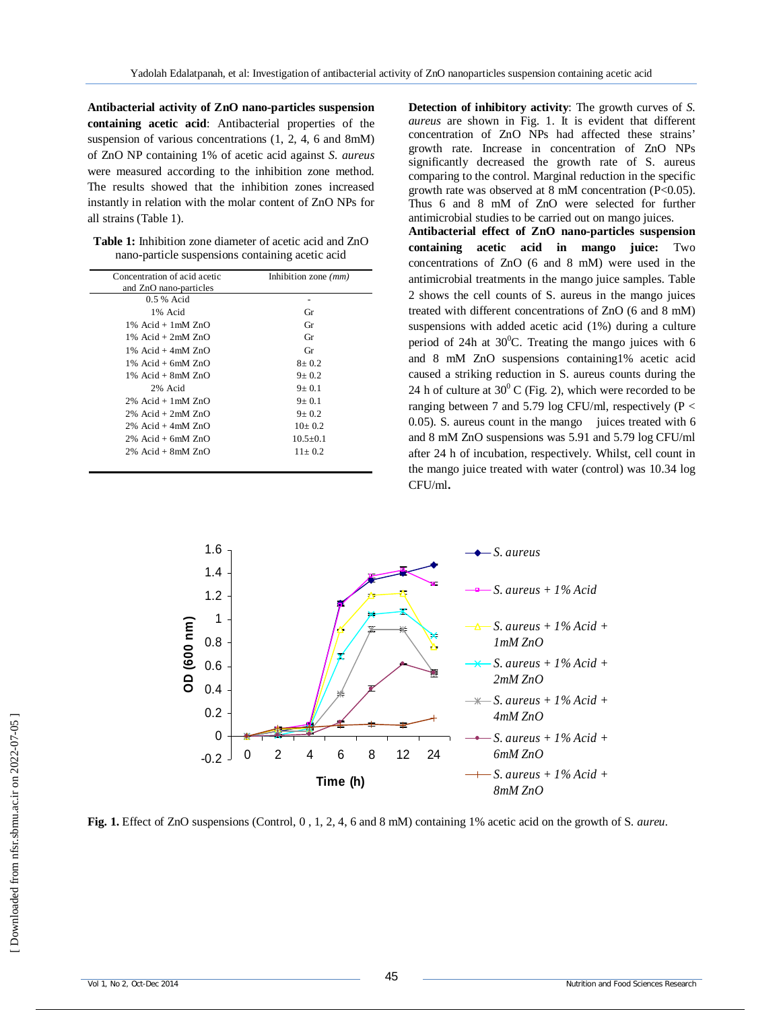**Antibacterial activity of ZnO nano-particles suspension containing acetic acid**: Antibacterial properties of the suspension of various concentrations  $(1, 2, 4, 6$  and 8mM) of ZnO NP containing 1% of acetic acid against *S. aureus* were measured according to the inhibition zone method. The results showed that the inhibition zones increased instantly in relation with the molar content of ZnO NPs for all strains (Table 1).

**Table 1:** Inhibition zone diameter of acetic acid and ZnO nano-particle suspensions containing acetic acid

| Concentration of acid acetic | Inhibition zone $(mm)$ |
|------------------------------|------------------------|
| and ZnO nano-particles       |                        |
| $0.5%$ Acid                  |                        |
| 1% Acid                      | Gr                     |
| $1\%$ Acid + $1mM ZnO$       | Gr                     |
| $1\%$ Acid + $2mM$ ZnO       | Gr                     |
| $1\%$ Acid + 4mM $ZnO$       | Gr                     |
| $1\%$ Acid + 6mM $ZnO$       | $8 + 0.2$              |
| $1\%$ Acid + 8mM $ZnO$       | $9 + 0.2$              |
| 2% Acid                      | $9+0.1$                |
| $2\%$ Acid + 1 mM $ZnO$      | $9+0.1$                |
| $2\%$ Acid + $2mM$ ZnO       | $9 + 0.2$              |
| $2\%$ Acid + 4mM $ZnO$       | $10+0.2$               |
| $2\%$ Acid + 6mM $ZnO$       | $10.5 + 0.1$           |
| $2\%$ Acid + 8mM $ZnO$       | $11 + 0.2$             |

**Detection of inhibitory activity**: The growth curves of *S. aureus* are shown in Fig. 1. It is evident that different concentration of ZnO NPs had affected these strains' growth rate. Increase in concentration of ZnO NPs significantly decreased the growth rate of S. aureus comparing to the control. Marginal reduction in the specific growth rate was observed at 8 mM concentration (P<0.05). Thus 6 and 8 mM of ZnO were selected for further antimicrobial studies to be carried out on mango juices.

**Antibacterial effect of ZnO nano-particles suspension containing acetic acid in mango juice:** Two concentrations of ZnO (6 and 8 mM) were used in the antimicrobial treatments in the mango juice samples. Table 2 shows the cell counts of S. aureus in the mango juices treated with different concentrations of ZnO (6 and 8 mM) suspensions with added acetic acid (1%) during a culture period of 24h at  $30^{\circ}$ C. Treating the mango juices with 6 and 8 mM ZnO suspensions containing1% acetic acid caused a striking reduction in S. aureus counts during the 24 h of culture at  $30^{\circ}$  C (Fig. 2), which were recorded to be ranging between 7 and 5.79 log CFU/ml, respectively ( $P <$ 0.05). S. aureus count in the mango juices treated with 6 and 8 mM ZnO suspensions was 5.91 and 5.79 log CFU/ml after 24 h of incubation, respectively. Whilst, cell count in the mango juice treated with water (control) was 10.34 log CFU/ml**.**



**Fig. 1.** Effect of ZnO suspensions (Control, 0 , 1, 2, 4, 6 and 8 mM) containing 1% acetic acid on the growth of S. *aureu*.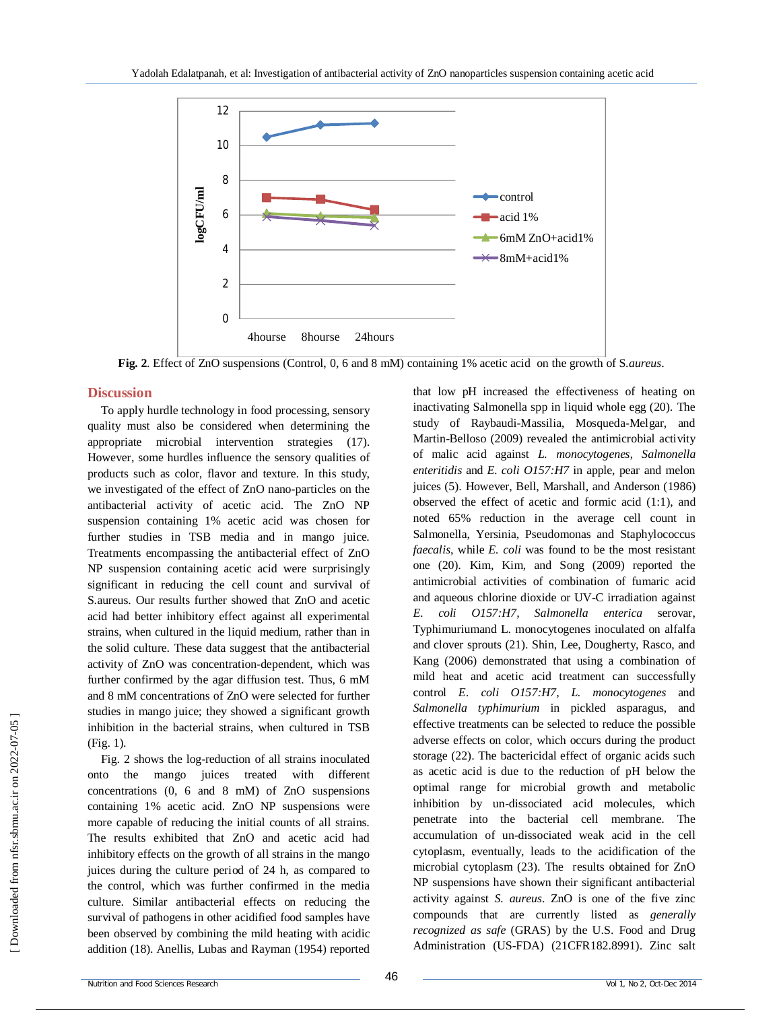

**Fig. 2**. Effect of ZnO suspensions (Control, 0, 6 and 8 mM) containing 1% acetic acid on the growth of S.*aureus*.

## **Discussion**

To apply hurdle technology in food processing, sensory quality must also be considered when determining the appropriate microbial intervention strategies (17). However, some hurdles influence the sensory qualities of products such as color, flavor and texture. In this study, we investigated of the effect of ZnO nano-particles on the antibacterial activity of acetic acid. The ZnO NP suspension containing 1% acetic acid was chosen for further studies in TSB media and in mango juice. Treatments encompassing the antibacterial effect of ZnO NP suspension containing acetic acid were surprisingly significant in reducing the cell count and survival of S.aureus. Our results further showed that ZnO and acetic acid had better inhibitory effect against all experimental strains, when cultured in the liquid medium, rather than in the solid culture. These data suggest that the antibacterial activity of ZnO was concentration-dependent, which was further confirmed by the agar diffusion test. Thus, 6 mM and 8 mM concentrations of ZnO were selected for further studies in mango juice; they showed a significant growth inhibition in the bacterial strains, when cultured in TSB (Fig. 1).

Fig. 2 shows the log-reduction of all strains inoculated onto the mango juices treated with different concentrations (0, 6 and 8 mM) of ZnO suspensions containing 1% acetic acid. ZnO NP suspensions were more capable of reducing the initial counts of all strains. The results exhibited that ZnO and acetic acid had inhibitory effects on the growth of all strains in the mango juices during the culture period of 24 h, as compared to the control, which was further confirmed in the media culture. Similar antibacterial effects on reducing the survival of pathogens in other acidified food samples have been observed by combining the mild heating with acidic addition (18). Anellis, Lubas and Rayman (1954) reported

that low pH increased the effectiveness of heating on inactivating Salmonella spp in liquid whole egg (20). The study of Raybaudi-Massilia, Mosqueda-Melgar, and Martin-Belloso (2009) revealed the antimicrobial activity of malic acid against *L. monocytogenes*, *Salmonella enteritidis* and *E. coli O157:H7* in apple, pear and melon juices (5). However, Bell, Marshall, and Anderson (1986) observed the effect of acetic and formic acid (1:1), and noted 65% reduction in the average cell count in Salmonella, Yersinia, Pseudomonas and Staphylococcus *faecalis*, while *E. coli* was found to be the most resistant one (20). Kim, Kim, and Song (2009) reported the antimicrobial activities of combination of fumaric acid and aqueous chlorine dioxide or UV-C irradiation against *E. coli O157:H7, Salmonella enterica* serovar, Typhimuriumand L. monocytogenes inoculated on alfalfa and clover sprouts (21). Shin, Lee, Dougherty, Rasco, and Kang (2006) demonstrated that using a combination of mild heat and acetic acid treatment can successfully control *E. coli O157:H7, L. monocytogenes* and *Salmonella typhimurium* in pickled asparagus, and effective treatments can be selected to reduce the possible adverse effects on color, which occurs during the product storage (22). The bactericidal effect of organic acids such as acetic acid is due to the reduction of pH below the optimal range for microbial growth and metabolic inhibition by un-dissociated acid molecules, which penetrate into the bacterial cell membrane. The accumulation of un-dissociated weak acid in the cell cytoplasm, eventually, leads to the acidification of the microbial cytoplasm (23). The results obtained for ZnO NP suspensions have shown their significant antibacterial activity against *S. aureus*. ZnO is one of the five zinc compounds that are currently listed as *generally recognized as safe* (GRAS) by the U.S. Food and Drug Administration (US-FDA) (21CFR182.8991). Zinc salt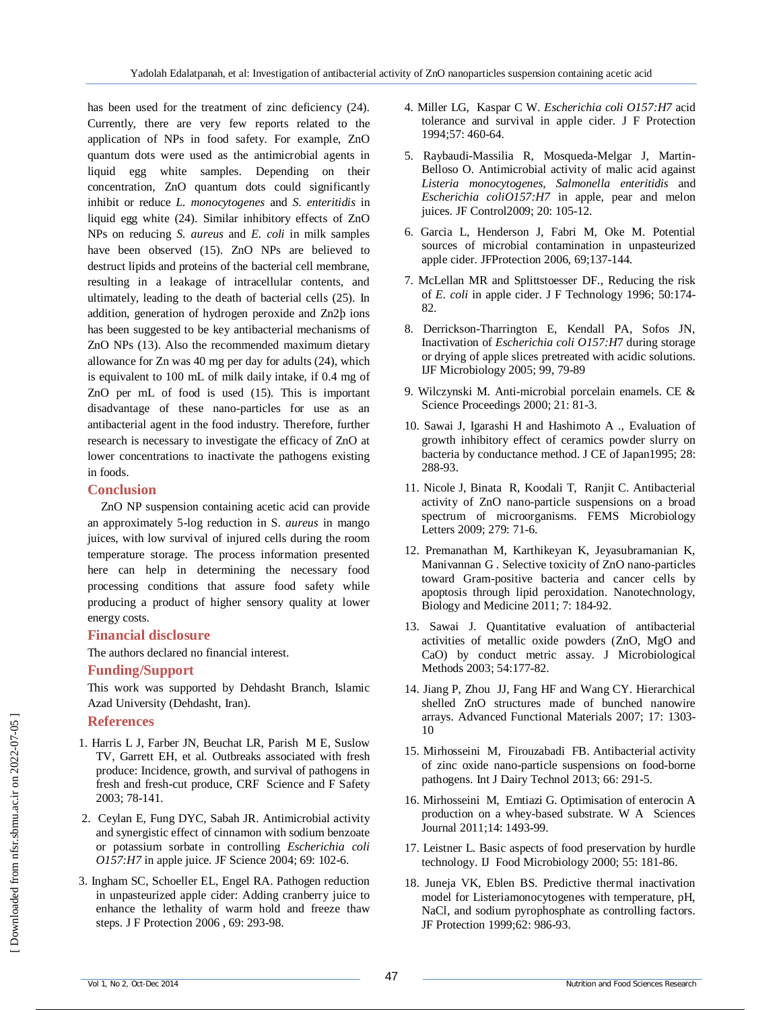has been used for the treatment of zinc deficiency (24). Currently, there are very few reports related to the application of NPs in food safety. For example, ZnO quantum dots were used as the antimicrobial agents in liquid egg white samples. Depending on their concentration, ZnO quantum dots could significantly inhibit or reduce *L. monocytogenes* and *S. enteritidis* in liquid egg white (24). Similar inhibitory effects of ZnO NPs on reducing *S. aureus* and *E. coli* in milk samples have been observed (15). ZnO NPs are believed to destruct lipids and proteins of the bacterial cell membrane, resulting in a leakage of intracellular contents, and ultimately, leading to the death of bacterial cells (25). In addition, generation of hydrogen peroxide and Zn2þ ions has been suggested to be key antibacterial mechanisms of ZnO NPs (13). Also the recommended maximum dietary allowance for Zn was 40 mg per day for adults (24), which is equivalent to 100 mL of milk daily intake, if 0.4 mg of ZnO per mL of food is used (15). This is important disadvantage of these nano-particles for use as an antibacterial agent in the food industry. Therefore, further research is necessary to investigate the efficacy of ZnO at lower concentrations to inactivate the pathogens existing in foods.

## **Conclusion**

ZnO NP suspension containing acetic acid can provide an approximately 5-log reduction in S. *aureus* in mango juices, with low survival of injured cells during the room temperature storage. The process information presented here can help in determining the necessary food processing conditions that assure food safety while producing a product of higher sensory quality at lower energy costs.

## **Financial disclosure**

The authors declared no financial interest.

#### **Funding/Support**

This work was supported by Dehdasht Branch, Islamic Azad University (Dehdasht, Iran).

## **References**

- 1. Harris L J, Farber JN, Beuchat LR, Parish M E, Suslow TV, Garrett EH, et al. Outbreaks associated with fresh produce: Incidence, growth, and survival of pathogens in fresh and fresh-cut produce*,* CRF Science and F Safety 2003; 78-141.
- 2. Ceylan E, Fung DYC, Sabah JR. Antimicrobial activity and synergistic effect of cinnamon with sodium benzoate or potassium sorbate in controlling *Escherichia coli O157:H7* in apple juice. JF Science 2004; 69: 102-6.
- 3. Ingham SC, Schoeller EL, Engel RA. Pathogen reduction in unpasteurized apple cider: Adding cranberry juice to enhance the lethality of warm hold and freeze thaw steps. J F Protection 2006 , 69: 293-98.
- 4. Miller LG, Kaspar C W. *Escherichia coli O157:H7* acid tolerance and survival in apple cider. J F Protection 1994;57: 460-64.
- 5. Raybaudi-Massilia R, Mosqueda-Melgar J, Martin-Belloso O. Antimicrobial activity of malic acid against *Listeria monocytogenes*, *Salmonella enteritidis* and *Escherichia coliO157:H7* in apple, pear and melon juices. JF Control2009; 20: 105-12.
- 6. Garcia L, Henderson J, Fabri M, Oke M. Potential sources of microbial contamination in unpasteurized apple cider. JFProtection 2006, 69;137-144.
- 7. McLellan MR and Splittstoesser DF., Reducing the risk of *E. coli* in apple cider. J F Technology 1996; 50:174- 82.
- 8. Derrickson-Tharrington E, Kendall PA, Sofos JN, Inactivation of *Escherichia coli O157:H*7 during storage or drying of apple slices pretreated with acidic solutions. IJF Microbiology 2005; 99, 79-89
- 9. Wilczynski M. Anti-microbial porcelain enamels. CE & Science Proceedings 2000; 21: 81-3.
- 10. Sawai J, Igarashi H and Hashimoto A ., Evaluation of growth inhibitory effect of ceramics powder slurry on bacteria by conductance method. J CE of Japan1995; 28: 288-93.
- 11. Nicole J, Binata R, Koodali T, Ranjit C. Antibacterial activity of ZnO nano-particle suspensions on a broad spectrum of microorganisms. FEMS Microbiology Letters 2009; 279: 71-6.
- 12. Premanathan M, Karthikeyan K, Jeyasubramanian K, Manivannan G . Selective toxicity of ZnO nano-particles toward Gram-positive bacteria and cancer cells by apoptosis through lipid peroxidation. Nanotechnology, Biology and Medicine 2011; 7: 184-92.
- 13. Sawai J. Quantitative evaluation of antibacterial activities of metallic oxide powders (ZnO, MgO and CaO) by conduct metric assay. J Microbiological Methods 2003; 54:177-82.
- 14. Jiang P, Zhou JJ, Fang HF and Wang CY. Hierarchical shelled ZnO structures made of bunched nanowire arrays. Advanced Functional Materials 2007; 17: 1303- 10
- 15. Mirhosseini M, Firouzabadi FB. Antibacterial activity of zinc oxide nano-particle suspensions on food-borne pathogens. Int J Dairy Technol 2013; 66: 291-5.
- 16. Mirhosseini M, Emtiazi G. Optimisation of enterocin A production on a whey-based substrate. W A Sciences Journal 2011;14: 1493-99.
- 17. Leistner L. Basic aspects of food preservation by hurdle technology. IJ Food Microbiology 2000; 55: 181-86.
- 18. Juneja VK, Eblen BS. Predictive thermal inactivation model for Listeriamonocytogenes with temperature, pH, NaCl, and sodium pyrophosphate as controlling factors. JF Protection 1999;62: 986-93.